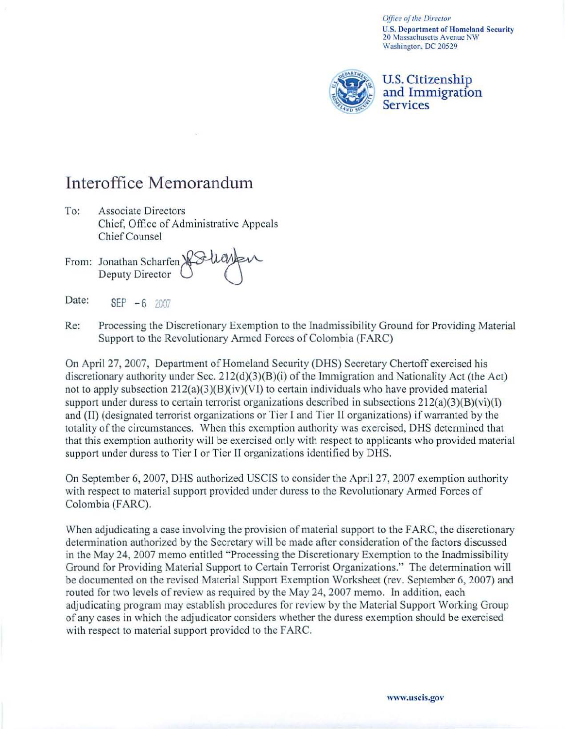*Office of the Director* U.S. Department of Homeland Security 20 Massachusetts Avenue NW Washington. DC 20529



## u.s. Citizenship and Immigration **Services**

## Interoffice Memorandum

- To: Associate Directors Chief, Office of Administrative Appeals Chief Counsel s<br>Iministrative Appeals<br>>>Suanten
- From: Jonathan Scharfen<br>Deputy Director Deputy Director
- Date:  $SEP - 6$  2007
- Re: Processing the Discretionary Exemption to the Inadmissibility Ground for Providing Material Support to the Revolutionary Armed Forces of Colombia (FARC)

On April 27, 2007, Department of Homeland Security (DHS) Secretary Chertoff exercised his discretionary authority under Sec. 212(d)(3)(B)(i) of the Immigration and Nationality Act (the Act) not to apply subsection  $212(a)(3)(B)(iv)(V)$  to certain individuals who have provided material support under duress to certain terrorist organizations described in subsections  $212(a)(3)(B)(vi)(I)$ and (II) (designated terrorist organizations or Tier I and Tier II organizations) if warranted by the totality of the circumstances. When this exemption authority was exercised, DHS detennined that that this exemption authority will be exercised only with respect to applicants who provided material support under duress to Tier I or Tier II organizations identified by DHS.

On September 6, 2007, DHS authorized USCIS to consider the April 27, 2007 exemption authority with respect to material support provided under duress to the Revolutionary Armed Forces of Colombia (FARC).

When adjudicating a case involving the provision of material support to the FARC, the discretionary determination authorized by the Secretary will be made after consideration of the factors discussed in the May 24, 2007 memo entitled "Processing the Discretionary Exemption to the Inadmissibility Ground for Providing Material Support to Certain Terrorist Organizations." The detennination will be documented on the revised Material Support Exemption Workshect (rev. September 6,2007) and routed for two levels of review as required by the May 24, 2007 memo. In addition, each adjudicating program may establish procedures for review by the Material Support Working Group of any cases in which the adjudicator considers whether the dmess exemption should be exercised with respect to material support provided to the FARC.